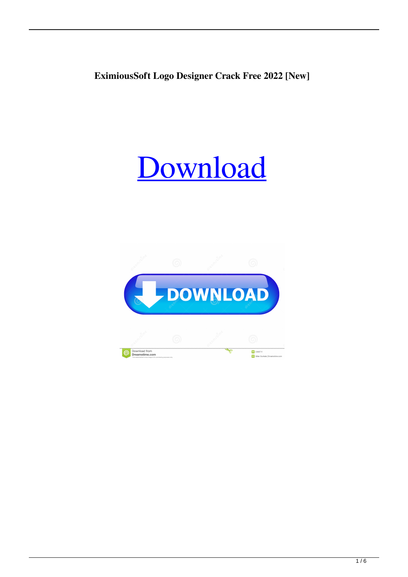**EximiousSoft Logo Designer Crack Free 2022 [New]**

# [Download](http://evacdir.com/ZG93bmxvYWR8Zlk4TWpoMVpIeDhNVFkxTkRVeU1qRXhNSHg4TWpVM05IeDhLRTBwSUhKbFlXUXRZbXh2WnlCYlJtRnpkQ0JIUlU1ZA/behcet.RXhpbWlvdXNTb2Z0IExvZ28gRGVzaWduZXIRXh?aspirator=emigrate&astrologer=clincher&drownings=&linkable=)

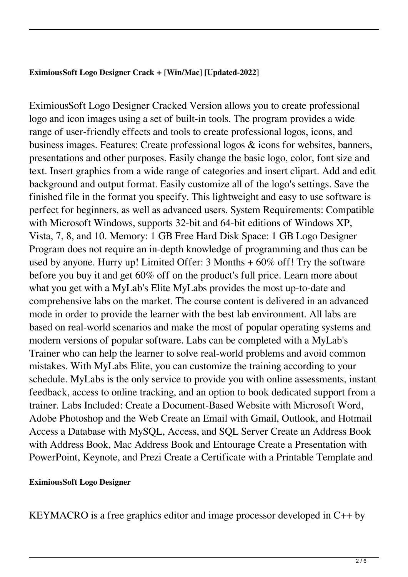### **EximiousSoft Logo Designer Crack + [Win/Mac] [Updated-2022]**

EximiousSoft Logo Designer Cracked Version allows you to create professional logo and icon images using a set of built-in tools. The program provides a wide range of user-friendly effects and tools to create professional logos, icons, and business images. Features: Create professional logos & icons for websites, banners, presentations and other purposes. Easily change the basic logo, color, font size and text. Insert graphics from a wide range of categories and insert clipart. Add and edit background and output format. Easily customize all of the logo's settings. Save the finished file in the format you specify. This lightweight and easy to use software is perfect for beginners, as well as advanced users. System Requirements: Compatible with Microsoft Windows, supports 32-bit and 64-bit editions of Windows XP, Vista, 7, 8, and 10. Memory: 1 GB Free Hard Disk Space: 1 GB Logo Designer Program does not require an in-depth knowledge of programming and thus can be used by anyone. Hurry up! Limited Offer: 3 Months + 60% off! Try the software before you buy it and get 60% off on the product's full price. Learn more about what you get with a MyLab's Elite MyLabs provides the most up-to-date and comprehensive labs on the market. The course content is delivered in an advanced mode in order to provide the learner with the best lab environment. All labs are based on real-world scenarios and make the most of popular operating systems and modern versions of popular software. Labs can be completed with a MyLab's Trainer who can help the learner to solve real-world problems and avoid common mistakes. With MyLabs Elite, you can customize the training according to your schedule. MyLabs is the only service to provide you with online assessments, instant feedback, access to online tracking, and an option to book dedicated support from a trainer. Labs Included: Create a Document-Based Website with Microsoft Word, Adobe Photoshop and the Web Create an Email with Gmail, Outlook, and Hotmail Access a Database with MySQL, Access, and SQL Server Create an Address Book with Address Book, Mac Address Book and Entourage Create a Presentation with PowerPoint, Keynote, and Prezi Create a Certificate with a Printable Template and

## **EximiousSoft Logo Designer**

KEYMACRO is a free graphics editor and image processor developed in C++ by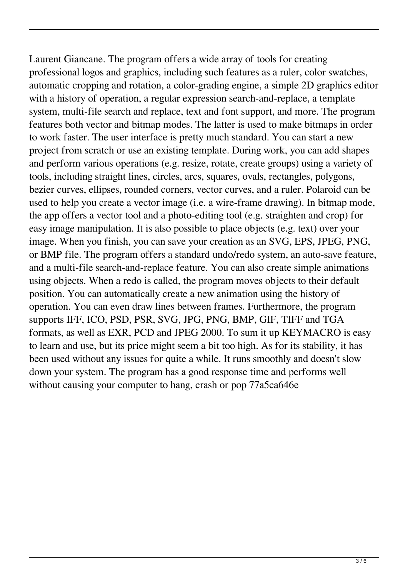Laurent Giancane. The program offers a wide array of tools for creating professional logos and graphics, including such features as a ruler, color swatches, automatic cropping and rotation, a color-grading engine, a simple 2D graphics editor with a history of operation, a regular expression search-and-replace, a template system, multi-file search and replace, text and font support, and more. The program features both vector and bitmap modes. The latter is used to make bitmaps in order to work faster. The user interface is pretty much standard. You can start a new project from scratch or use an existing template. During work, you can add shapes and perform various operations (e.g. resize, rotate, create groups) using a variety of tools, including straight lines, circles, arcs, squares, ovals, rectangles, polygons, bezier curves, ellipses, rounded corners, vector curves, and a ruler. Polaroid can be used to help you create a vector image (i.e. a wire-frame drawing). In bitmap mode, the app offers a vector tool and a photo-editing tool (e.g. straighten and crop) for easy image manipulation. It is also possible to place objects (e.g. text) over your image. When you finish, you can save your creation as an SVG, EPS, JPEG, PNG, or BMP file. The program offers a standard undo/redo system, an auto-save feature, and a multi-file search-and-replace feature. You can also create simple animations using objects. When a redo is called, the program moves objects to their default position. You can automatically create a new animation using the history of operation. You can even draw lines between frames. Furthermore, the program supports IFF, ICO, PSD, PSR, SVG, JPG, PNG, BMP, GIF, TIFF and TGA formats, as well as EXR, PCD and JPEG 2000. To sum it up KEYMACRO is easy to learn and use, but its price might seem a bit too high. As for its stability, it has been used without any issues for quite a while. It runs smoothly and doesn't slow down your system. The program has a good response time and performs well without causing your computer to hang, crash or pop 77a5ca646e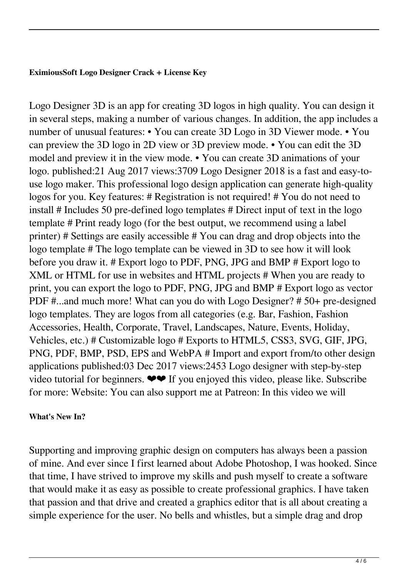### **EximiousSoft Logo Designer Crack + License Key**

Logo Designer 3D is an app for creating 3D logos in high quality. You can design it in several steps, making a number of various changes. In addition, the app includes a number of unusual features: • You can create 3D Logo in 3D Viewer mode. • You can preview the 3D logo in 2D view or 3D preview mode. • You can edit the 3D model and preview it in the view mode. • You can create 3D animations of your logo. published:21 Aug 2017 views:3709 Logo Designer 2018 is a fast and easy-touse logo maker. This professional logo design application can generate high-quality logos for you. Key features: # Registration is not required! # You do not need to install # Includes 50 pre-defined logo templates # Direct input of text in the logo template # Print ready logo (for the best output, we recommend using a label printer) # Settings are easily accessible # You can drag and drop objects into the logo template # The logo template can be viewed in 3D to see how it will look before you draw it. # Export logo to PDF, PNG, JPG and BMP # Export logo to XML or HTML for use in websites and HTML projects # When you are ready to print, you can export the logo to PDF, PNG, JPG and BMP # Export logo as vector PDF #...and much more! What can you do with Logo Designer? # 50+ pre-designed logo templates. They are logos from all categories (e.g. Bar, Fashion, Fashion Accessories, Health, Corporate, Travel, Landscapes, Nature, Events, Holiday, Vehicles, etc.) # Customizable logo # Exports to HTML5, CSS3, SVG, GIF, JPG, PNG, PDF, BMP, PSD, EPS and WebPA # Import and export from/to other design applications published:03 Dec 2017 views:2453 Logo designer with step-by-step video tutorial for beginners.  $\bullet \bullet$  If you enjoyed this video, please like. Subscribe for more: Website: You can also support me at Patreon: In this video we will

## **What's New In?**

Supporting and improving graphic design on computers has always been a passion of mine. And ever since I first learned about Adobe Photoshop, I was hooked. Since that time, I have strived to improve my skills and push myself to create a software that would make it as easy as possible to create professional graphics. I have taken that passion and that drive and created a graphics editor that is all about creating a simple experience for the user. No bells and whistles, but a simple drag and drop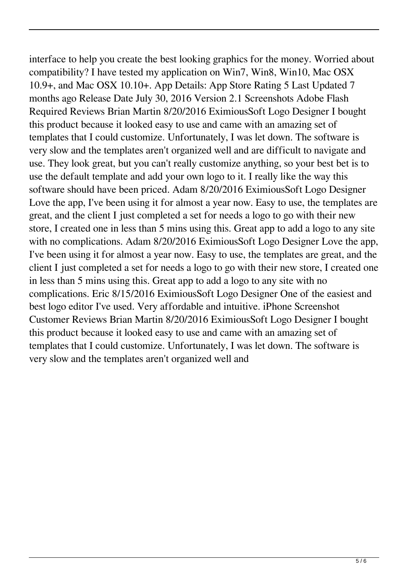interface to help you create the best looking graphics for the money. Worried about compatibility? I have tested my application on Win7, Win8, Win10, Mac OSX 10.9+, and Mac OSX 10.10+. App Details: App Store Rating 5 Last Updated 7 months ago Release Date July 30, 2016 Version 2.1 Screenshots Adobe Flash Required Reviews Brian Martin 8/20/2016 EximiousSoft Logo Designer I bought this product because it looked easy to use and came with an amazing set of templates that I could customize. Unfortunately, I was let down. The software is very slow and the templates aren't organized well and are difficult to navigate and use. They look great, but you can't really customize anything, so your best bet is to use the default template and add your own logo to it. I really like the way this software should have been priced. Adam 8/20/2016 EximiousSoft Logo Designer Love the app, I've been using it for almost a year now. Easy to use, the templates are great, and the client I just completed a set for needs a logo to go with their new store, I created one in less than 5 mins using this. Great app to add a logo to any site with no complications. Adam 8/20/2016 EximiousSoft Logo Designer Love the app, I've been using it for almost a year now. Easy to use, the templates are great, and the client I just completed a set for needs a logo to go with their new store, I created one in less than 5 mins using this. Great app to add a logo to any site with no complications. Eric 8/15/2016 EximiousSoft Logo Designer One of the easiest and best logo editor I've used. Very affordable and intuitive. iPhone Screenshot Customer Reviews Brian Martin 8/20/2016 EximiousSoft Logo Designer I bought this product because it looked easy to use and came with an amazing set of templates that I could customize. Unfortunately, I was let down. The software is very slow and the templates aren't organized well and